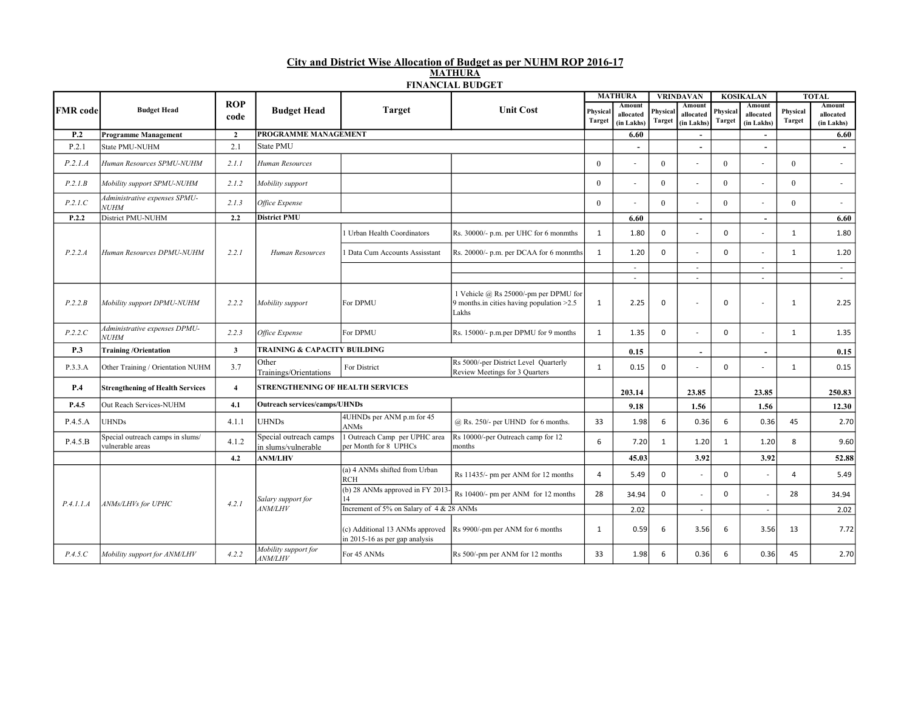## City and District Wise Allocation of Budget as per NUHM ROP 2016-17 MATHURA FINANCIAL BUDGET

|                 |                                                      |                    |                                               |                                                                   |                                                                                               |                           | <b>MATHURA</b>                    |                           | <b>VRINDAVAN</b>                  |                           | <b>KOSIKALAN</b>                  |                    | <b>TOTAL</b>                      |
|-----------------|------------------------------------------------------|--------------------|-----------------------------------------------|-------------------------------------------------------------------|-----------------------------------------------------------------------------------------------|---------------------------|-----------------------------------|---------------------------|-----------------------------------|---------------------------|-----------------------------------|--------------------|-----------------------------------|
| <b>FMR</b> code | <b>Budget Head</b>                                   | <b>ROP</b><br>code | <b>Budget Head</b>                            | <b>Target</b>                                                     | <b>Unit Cost</b>                                                                              | Physical<br><b>Target</b> | Amount<br>allocated<br>(in Lakhs) | Physical<br><b>Target</b> | Amount<br>allocated<br>(in Lakhs) | Physical<br><b>Target</b> | Amount<br>allocated<br>(in Lakhs) | Physical<br>Target | Amount<br>allocated<br>(in Lakhs) |
| P.2             | <b>Programme Management</b>                          | $\overline{2}$     | PROGRAMME MANAGEMENT                          |                                                                   |                                                                                               |                           | 6.60                              |                           | $\sim$                            |                           | $\sim$                            |                    | 6.60                              |
| P.2.1           | <b>State PMU-NUHM</b>                                | 2.1                | State PMU                                     |                                                                   |                                                                                               |                           | $\overline{\phantom{a}}$          |                           |                                   |                           |                                   |                    |                                   |
| P.2.1.A         | Human Resources SPMU-NUHM                            | 2.1.1              | Human Resources                               |                                                                   |                                                                                               | $\theta$                  | $\overline{\phantom{a}}$          | $\Omega$                  |                                   | $\Omega$                  |                                   | $\mathbf{0}$       | $\sim$                            |
| P.2.1B          | Mobility support SPMU-NUHM                           | 2.1.2              | Mobility support                              |                                                                   |                                                                                               | $\theta$                  | $\overline{\phantom{a}}$          | $\Omega$                  | $\overline{\phantom{a}}$          | $\Omega$                  | $\overline{a}$                    | $\theta$           | $\sim$                            |
| P.2.1.C         | Administrative expenses SPMU-<br><b>NUHM</b>         | 2.1.3              | Office Expense                                |                                                                   |                                                                                               | $\theta$                  | $\overline{a}$                    | $\theta$                  |                                   | $\Omega$                  |                                   | $\theta$           | $\overline{\phantom{a}}$          |
| P.2.2           | District PMU-NUHM                                    | 2.2                | <b>District PMU</b>                           |                                                                   |                                                                                               |                           | 6.60                              |                           | $\sim$                            |                           | $\sim$                            |                    | 6.60                              |
|                 |                                                      |                    |                                               | Urban Health Coordinators                                         | Rs. 30000/- p.m. per UHC for 6 monmths                                                        | 1                         | 1.80                              | $\Omega$                  |                                   | $\Omega$                  |                                   | 1                  | 1.80                              |
| P.2.2.A         | Human Resources DPMU-NUHM                            | 2.2.1              | Human Resources                               | Data Cum Accounts Assisstant                                      | Rs. 20000/- p.m. per DCAA for 6 monmths                                                       | $\mathbf{1}$              | 1.20                              | $\Omega$                  |                                   | $\Omega$                  |                                   | 1                  | 1.20                              |
|                 |                                                      |                    |                                               |                                                                   |                                                                                               |                           | $\sim$                            |                           | $\sim$                            |                           | $\overline{\phantom{a}}$          |                    | $\sim$                            |
|                 |                                                      |                    |                                               |                                                                   |                                                                                               |                           | $\sim$                            |                           | $\mathcal{L}_{\mathcal{A}}$       |                           | $\sim$                            |                    | $\sim$                            |
| P.2.2.B         | Mobility support DPMU-NUHM                           | 2.2.2              | Mobility support                              | For DPMU                                                          | 1 Vehicle @ Rs 25000/-pm per DPMU for<br>9 months.in cities having population $>2.5$<br>Lakhs | $\mathbf{1}$              | 2.25                              | $\Omega$                  |                                   | $\mathbf 0$               |                                   | 1                  | 2.25                              |
| P.2.2.C         | Administrative expenses DPMU-<br><b>NUHM</b>         | 2.2.3              | Office Expense                                | For DPMU                                                          | Rs. 15000/- p.m.per DPMU for 9 months                                                         | $\mathbf{1}$              | 1.35                              | 0                         |                                   | $\mathbf 0$               |                                   | 1                  | 1.35                              |
| <b>P.3</b>      | <b>Training/Orientation</b>                          | $\mathbf{3}$       | TRAINING & CAPACITY BUILDING                  |                                                                   |                                                                                               |                           | 0.15                              |                           | $\blacksquare$                    |                           | $\sim$                            |                    | 0.15                              |
| P.3.3.A         | Other Training / Orientation NUHM                    | 3.7                | Other<br>Trainings/Orientations               | For District                                                      | Rs 5000/-per District Level Quarterly<br>Review Meetings for 3 Quarters                       | $\mathbf{1}$              | 0.15                              | $\Omega$                  |                                   | $\Omega$                  |                                   | 1                  | 0.15                              |
| <b>P.4</b>      | <b>Strengthening of Health Services</b>              | $\overline{4}$     | <b>STRENGTHENING OF HEALTH SERVICES</b>       |                                                                   |                                                                                               |                           | 203.14                            |                           | 23.85                             |                           | 23.85                             |                    | 250.83                            |
| P.4.5           | Out Reach Services-NUHM                              | 4.1                | <b>Outreach services/camps/UHNDs</b>          |                                                                   |                                                                                               |                           | 9.18                              |                           | 1.56                              |                           | 1.56                              |                    | 12.30                             |
| P.4.5.A         | <b>UHNDs</b>                                         | 4.1.1              | <b>UHNDs</b>                                  | 4UHNDs per ANM p.m for 45<br><b>ANMs</b>                          | $@$ Rs. 250/- per UHND for 6 months.                                                          | 33                        | 1.98                              | 6                         | 0.36                              | 6                         | 0.36                              | 45                 | 2.70                              |
| P.4.5.B         | Special outreach camps in slums/<br>vulnerable areas | 4.1.2              | Special outreach camps<br>in slums/vulnerable | Outreach Camp per UPHC area<br>per Month for 8 UPHCs              | Rs 10000/-per Outreach camp for 12<br>months                                                  | 6                         | 7.20                              | $\mathbf{1}$              | 1.20                              | $\mathbf{1}$              | 1.20                              | 8                  | 9.60                              |
|                 |                                                      | 4.2                | <b>ANM/LHV</b>                                |                                                                   |                                                                                               |                           | 45.03                             |                           | 3.92                              |                           | 3.92                              |                    | 52.88                             |
|                 |                                                      |                    |                                               | (a) 4 ANMs shifted from Urban<br><b>RCH</b>                       | Rs 11435/- pm per ANM for 12 months                                                           | $\overline{4}$            | 5.49                              | $\Omega$                  | L.                                | $\Omega$                  | $\sim$                            | 4                  | 5.49                              |
| P.4.1.1.A       | ANMs/LHVs for UPHC                                   | 4.2.1              | Salary support for                            | (b) 28 ANMs approved in FY 2013-                                  | Rs 10400/- pm per ANM for 12 months                                                           | 28                        | 34.94                             | $\Omega$                  | $\overline{a}$                    | $\Omega$                  | $\overline{a}$                    | 28                 | 34.94                             |
|                 |                                                      |                    | <b>ANM/LHV</b>                                | Increment of 5% on Salary of 4 & 28 ANMs                          |                                                                                               |                           | 2.02                              |                           | $\overline{\phantom{a}}$          |                           | $\sim$                            |                    | 2.02                              |
|                 |                                                      |                    |                                               | (c) Additional 13 ANMs approved<br>in 2015-16 as per gap analysis | Rs 9900/-pm per ANM for 6 months                                                              | $\mathbf{1}$              | 0.59                              | 6                         | 3.56                              | 6                         | 3.56                              | 13                 | 7.72                              |
| P.4.5.C         | Mobility support for ANM/LHV                         | 4.2.2              | Mobility support for<br><b>ANM/LHV</b>        | For 45 ANMs                                                       | Rs 500/-pm per ANM for 12 months                                                              | 33                        | 1.98                              | 6                         | 0.36                              | 6                         | 0.36                              | 45                 | 2.70                              |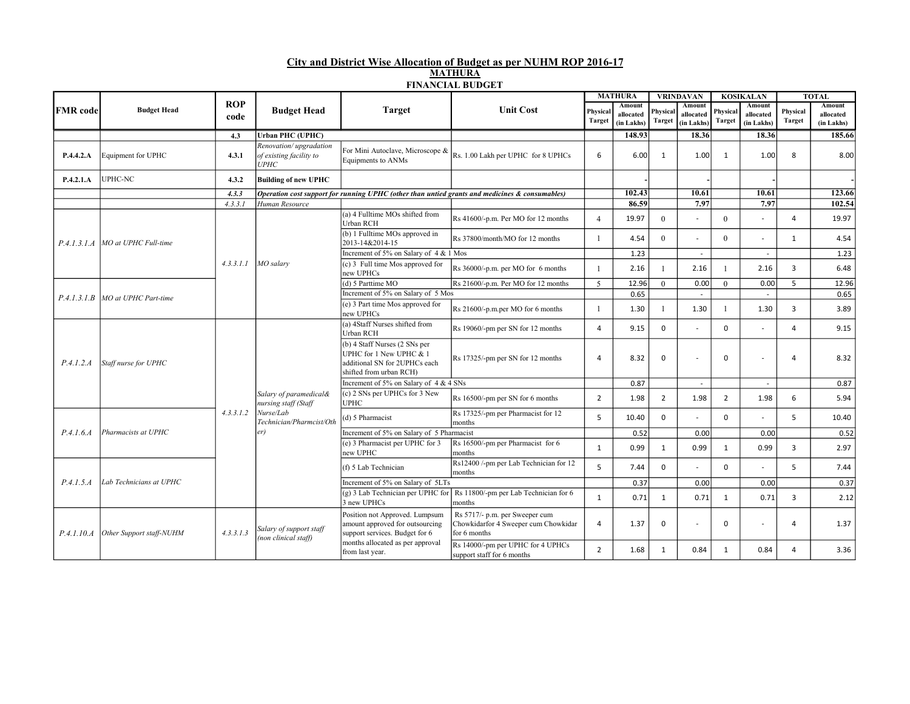## City and District Wise Allocation of Budget as per NUHM ROP 2016-17 MATHURA FINANCIAL BUDGET

|                 | <b>Budget Head</b>                 |                    | <b>Budget Head</b>                                                                             | .<br><b>Target</b>                                                                                                     | <b>Unit Cost</b>                                                                               | <b>MATHURA</b>            |                                   | <b>VRINDAVAN</b>          |                                   | <b>KOSIKALAN</b>          |                                          | <b>TOTAL</b>              |                                          |
|-----------------|------------------------------------|--------------------|------------------------------------------------------------------------------------------------|------------------------------------------------------------------------------------------------------------------------|------------------------------------------------------------------------------------------------|---------------------------|-----------------------------------|---------------------------|-----------------------------------|---------------------------|------------------------------------------|---------------------------|------------------------------------------|
| <b>FMR</b> code |                                    | <b>ROP</b><br>code |                                                                                                |                                                                                                                        |                                                                                                | Physical<br><b>Target</b> | Amount<br>allocated<br>(in Lakhs) | Physical<br><b>Target</b> | Amount<br>allocated<br>(in Lakhs) | Physical<br><b>Target</b> | <b>Amount</b><br>allocated<br>(in Lakhs) | Physical<br><b>Target</b> | <b>Amount</b><br>allocated<br>(in Lakhs) |
|                 |                                    | 4.3                | <b>Urban PHC (UPHC)</b>                                                                        |                                                                                                                        |                                                                                                |                           | 148.93                            |                           | 18.36                             |                           | 18.36                                    |                           | 185.66                                   |
| P.4.4.2.A       | Equipment for UPHC                 | 4.3.1              | Renovation/upgradation<br>of existing facility to<br><b>UPHC</b>                               | For Mini Autoclave, Microscope &<br>Equipments to ANMs                                                                 | Rs. 1.00 Lakh per UPHC for 8 UPHCs                                                             | 6                         | 6.00                              | 1                         | 1.00                              | 1                         | 1.00                                     | 8                         | 8.00                                     |
| P.4.2.1.A       | UPHC-NC                            | 4.3.2              | <b>Building of new UPHC</b>                                                                    |                                                                                                                        |                                                                                                |                           |                                   |                           |                                   |                           |                                          |                           |                                          |
|                 |                                    | 4, 3, 3            |                                                                                                |                                                                                                                        | Operation cost support for running UPHC (other than untied grants and medicines & consumables) |                           | 102.43                            |                           | 10.61                             |                           | 10.61                                    |                           | 123.66                                   |
|                 |                                    | 4.3.3.1            | Human Resource                                                                                 |                                                                                                                        |                                                                                                |                           | 86.59                             |                           | 7.97                              |                           | 7.97                                     |                           | 102.54                                   |
|                 |                                    |                    |                                                                                                | (a) 4 Fulltime MOs shifted from<br><b>Urban RCH</b>                                                                    | Rs 41600/-p.m. Per MO for 12 months                                                            | $\overline{4}$            | 19.97                             | $\Omega$                  | $\sim$                            | $\theta$                  | $\sim$                                   | $\overline{4}$            | 19.97                                    |
|                 | $P.4.1.3.1.A$ MO at UPHC Full-time |                    |                                                                                                | (b) 1 Fulltime MOs approved in<br>2013-14&2014-15                                                                      | Rs 37800/month/MO for 12 months                                                                |                           | 4.54                              | $\Omega$                  |                                   | $\Omega$                  | $\sim$                                   | 1                         | 4.54                                     |
|                 |                                    |                    | $4.3.3.1.1$ MO salary                                                                          | Increment of 5% on Salary of 4 & 1 Mos                                                                                 |                                                                                                |                           | 1.23                              |                           | $\overline{\phantom{a}}$          |                           | $\overline{\phantom{a}}$                 |                           | 1.23                                     |
|                 |                                    |                    |                                                                                                | $(c)$ 3 Full time Mos approved for<br>new UPHCs                                                                        | Rs 36000/-p.m. per MO for 6 months                                                             |                           | 2.16                              |                           | 2.16                              |                           | 2.16                                     | $\overline{3}$            | 6.48                                     |
|                 | MO at UPHC Part-time               |                    |                                                                                                | (d) 5 Parttime MO                                                                                                      | Rs 21600/-p.m. Per MO for 12 months                                                            | $\overline{5}$            | 12.96                             | $\theta$                  | 0.00                              | $\theta$                  | 0.00                                     | 5                         | 12.96                                    |
| P.4.1.3.1.B     |                                    |                    |                                                                                                | Increment of 5% on Salary of 5 Mos                                                                                     |                                                                                                |                           | 0.65                              |                           |                                   |                           |                                          |                           | 0.65                                     |
|                 |                                    |                    |                                                                                                | $(c)$ 3 Part time Mos approved for<br>new UPHCs                                                                        | Rs 21600/-p.m.per MO for 6 months                                                              |                           | 1.30                              |                           | 1.30                              | $\mathbf{1}$              | 1.30                                     | $\overline{3}$            | 3.89                                     |
| P.4.1.2.A       | Staff nurse for UPHC               |                    | Salary of paramedical&<br>nursing staff (Staff<br>Nurse/Lab<br>Technician/Pharmcist/Oth<br>er) | (a) 4Staff Nurses shifted from<br>Urban RCH                                                                            | Rs 19060/-pm per SN for 12 months                                                              | $\overline{a}$            | 9.15                              | $\Omega$                  |                                   | $\Omega$                  | $\sim$                                   | $\overline{a}$            | 9.15                                     |
|                 |                                    |                    |                                                                                                | $(b)$ 4 Staff Nurses (2 SNs per<br>UPHC for 1 New UPHC & 1<br>additional SN for 2UPHCs each<br>shifted from urban RCH) | Rs 17325/-pm per SN for 12 months                                                              | 4                         | 8.32                              | $\mathbf 0$               |                                   | $\Omega$                  |                                          | 4                         | 8.32                                     |
|                 |                                    |                    |                                                                                                | Increment of 5% on Salary of 4 & 4 SNs                                                                                 |                                                                                                |                           | 0.87                              |                           |                                   |                           |                                          |                           | 0.87                                     |
|                 |                                    |                    |                                                                                                | $(c)$ 2 SNs per UPHCs for 3 New<br><b>UPHC</b>                                                                         | Rs 16500/-pm per SN for 6 months                                                               | $\overline{2}$            | 1.98                              | $\overline{2}$            | 1.98                              | $\overline{2}$            | 1.98                                     | 6                         | 5.94                                     |
|                 | Pharmacists at UPHC                | 4, 3, 3, 1, 2      |                                                                                                | $(d)$ 5 Pharmacist                                                                                                     | Rs 17325/-pm per Pharmacist for 12<br>months                                                   | 5                         | 10.40                             | 0                         |                                   | $\Omega$                  | $\sim$                                   | 5                         | 10.40                                    |
| P.4.1.6.4       |                                    |                    |                                                                                                | Increment of 5% on Salary of 5 Pharmacist                                                                              |                                                                                                |                           | 0.52                              |                           | 0.00                              |                           | 0.00                                     |                           | 0.52                                     |
|                 |                                    |                    |                                                                                                | (e) 3 Pharmacist per UPHC for 3<br>new UPHC                                                                            | Rs 16500/-pm per Pharmacist for 6<br>months                                                    | $\mathbf{1}$              | 0.99                              | $\mathbf{1}$              | 0.99                              | 1                         | 0.99                                     | $\overline{3}$            | 2.97                                     |
| P.4.1.5.4       | Lab Technicians at UPHC            |                    |                                                                                                | (f) 5 Lab Technician                                                                                                   | Rs12400 /-pm per Lab Technician for 12<br>months                                               | 5                         | 7.44                              | 0                         |                                   | $\Omega$                  | $\sim$                                   | 5                         | 7.44                                     |
|                 |                                    |                    |                                                                                                | Increment of 5% on Salary of 5LTs                                                                                      |                                                                                                |                           | 0.37                              |                           | 0.00                              |                           | 0.00                                     |                           | 0.37                                     |
|                 |                                    |                    |                                                                                                | $(g)$ 3 Lab Technician per UPHC for<br>3 new UPHCs                                                                     | Rs 11800/-pm per Lab Technician for 6<br>months                                                | $\mathbf{1}$              | 0.71                              | 1                         | 0.71                              | 1                         | 0.71                                     | $\overline{3}$            | 2.12                                     |
| P.4.1.10.A      | Other Support staff-NUHM           | 4.3.3.1.3          | Salary of support staff<br>(non clinical staff)                                                | Position not Approved. Lumpsum<br>amount approved for outsourcing<br>support services. Budget for 6                    | Rs 5717/- p.m. per Sweeper cum<br>Chowkidarfor 4 Sweeper cum Chowkidar<br>for 6 months         | 4                         | 1.37                              | 0                         |                                   | $\Omega$                  | $\sim$                                   | 4                         | 1.37                                     |
|                 |                                    |                    |                                                                                                | months allocated as per approval<br>from last year.                                                                    | Rs 14000/-pm per UPHC for 4 UPHCs<br>support staff for 6 months                                | $\overline{2}$            | 1.68                              | $\mathbf{1}$              | 0.84                              | $\mathbf{1}$              | 0.84                                     | 4                         | 3.36                                     |